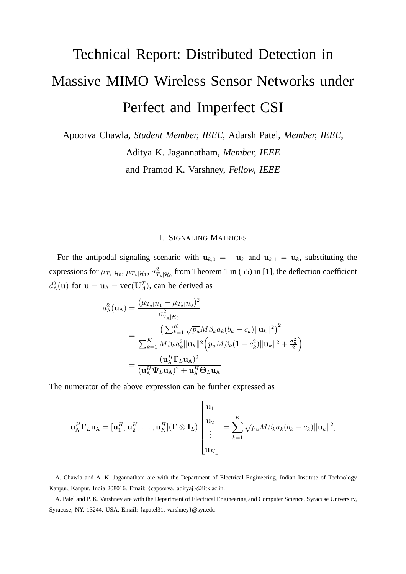## Technical Report: Distributed Detection in Massive MIMO Wireless Sensor Networks under Perfect and Imperfect CSI

Apoorva Chawla, *Student Member, IEEE,* Adarsh Patel, *Member, IEEE,* Aditya K. Jagannatham, *Member, IEEE*

and Pramod K. Varshney, *Fellow, IEEE*

## I. SIGNALING MATRICES

For the antipodal signaling scenario with  $u_{k,0} = -u_k$  and  $u_{k,1} = u_k$ , substituting the expressions for  $\mu_{T_{\text{A}}|\mathcal{H}_0}, \, \mu_{T_{\text{A}}|\mathcal{H}_1}, \, \sigma_T^2$  $T_{A|\mathcal{H}_0}^2$  from Theorem 1 in (55) in [1], the deflection coefficient  $d^2_{\rm A}$  $A^2$ (u) for  $u = u_A = vec(U_A^T)$ , can be derived as

$$
d_{\mathbf{A}}^{2}(\mathbf{u}_{\mathbf{A}}) = \frac{(\mu_{T_{\mathbf{A}}|\mathcal{H}_{1}} - \mu_{T_{\mathbf{A}}|\mathcal{H}_{0}})^{2}}{\sigma_{T_{\mathbf{A}}|\mathcal{H}_{0}}^{2}}
$$
  
= 
$$
\frac{\left(\sum_{k=1}^{K} \sqrt{p_{u}} M \beta_{k} a_{k} (b_{k} - c_{k}) \|\mathbf{u}_{k}\|^{2}\right)^{2}}{\sum_{k=1}^{K} M \beta_{k} a_{k}^{2} \|\mathbf{u}_{k}\|^{2} \left(p_{u} M \beta_{k} (1 - c_{k}^{2}) \|\mathbf{u}_{k}\|^{2} + \frac{\sigma_{n}^{2}}{2}\right)}
$$
  
= 
$$
\frac{(\mathbf{u}_{\mathbf{A}}^{H} \mathbf{\Gamma}_{L} \mathbf{u}_{\mathbf{A}})^{2}}{(\mathbf{u}_{\mathbf{A}}^{H} \mathbf{\Psi}_{L} \mathbf{u}_{\mathbf{A}})^{2} + \mathbf{u}_{\mathbf{A}}^{H} \mathbf{\Theta}_{L} \mathbf{u}_{\mathbf{A}}}.
$$

The numerator of the above expression can be further expressed as

$$
\mathbf{u}_{\mathbf{A}}^H \mathbf{\Gamma}_L \mathbf{u}_{\mathbf{A}} = [\mathbf{u}_1^H, \mathbf{u}_2^H, \dots, \mathbf{u}_K^H] (\mathbf{\Gamma} \otimes \mathbf{I}_L) \begin{bmatrix} \mathbf{u}_1 \\ \mathbf{u}_2 \\ \vdots \\ \mathbf{u}_K \end{bmatrix} = \sum_{k=1}^K \sqrt{p_u} M \beta_k a_k (b_k - c_k) \|\mathbf{u}_k\|^2,
$$

A. Chawla and A. K. Jagannatham are with the Department of Electrical Engineering, Indian Institute of Technology Kanpur, Kanpur, India 208016. Email: {capoorva, adityaj}@iitk.ac.in.

A. Patel and P. K. Varshney are with the Department of Electrical Engineering and Computer Science, Syracuse University, Syracuse, NY, 13244, USA. Email: {apatel31, varshney}@syr.edu